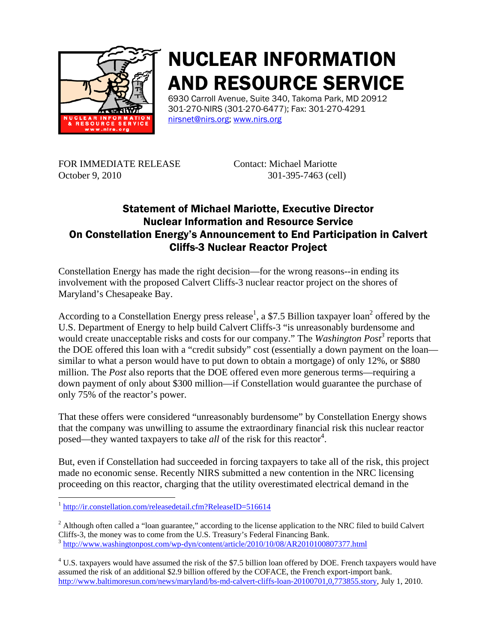

## NUCLEAR INFORMATION AND RESOURCE SERVICE

6930 Carroll Avenue, Suite 340, Takoma Park, MD 20912 301-270-NIRS (301-270-6477); Fax: 301-270-4291 nirsnet@nirs.org; www.nirs.org

FOR IMMEDIATE RELEASE Contact: Michael Mariotte October 9, 2010 301-395-7463 (cell)

## Statement of Michael Mariotte, Executive Director Nuclear Information and Resource Service On Constellation Energy's Announcement to End Participation in Calvert Cliffs-3 Nuclear Reactor Project

Constellation Energy has made the right decision—for the wrong reasons--in ending its involvement with the proposed Calvert Cliffs-3 nuclear reactor project on the shores of Maryland's Chesapeake Bay.

According to a Constellation Energy press release<sup>1</sup>, a \$7.5 Billion taxpayer loan<sup>2</sup> offered by the U.S. Department of Energy to help build Calvert Cliffs-3 "is unreasonably burdensome and would create unacceptable risks and costs for our company." The *Washington Post*<sup>3</sup> reports that the DOE offered this loan with a "credit subsidy" cost (essentially a down payment on the loan similar to what a person would have to put down to obtain a mortgage) of only 12%, or \$880 million. The *Post* also reports that the DOE offered even more generous terms—requiring a down payment of only about \$300 million—if Constellation would guarantee the purchase of only 75% of the reactor's power.

That these offers were considered "unreasonably burdensome" by Constellation Energy shows that the company was unwilling to assume the extraordinary financial risk this nuclear reactor posed—they wanted taxpayers to take *all* of the risk for this reactor<sup>4</sup>.

But, even if Constellation had succeeded in forcing taxpayers to take all of the risk, this project made no economic sense. Recently NIRS submitted a new contention in the NRC licensing proceeding on this reactor, charging that the utility overestimated electrical demand in the

<sup>2</sup> Although often called a "loan guarantee," according to the license application to the NRC filed to build Calvert Cliffs-3, the money was to come from the U.S. Treasury's Federal Financing Bank. <sup>3</sup> http://www.washingtonpost.com/wp-dyn/content/article/2010/10/08/AR2010100807377.html

 $4$  U.S. taxpayers would have assumed the risk of the \$7.5 billion loan offered by DOE. French taxpayers would have assumed the risk of an additional \$2.9 billion offered by the COFACE, the French export-import bank. http://www.baltimoresun.com/news/maryland/bs-md-calvert-cliffs-loan-20100701,0,773855.story, July 1, 2010.

 $\overline{a}$ <sup>1</sup> http://ir.constellation.com/releasedetail.cfm?ReleaseID=516614